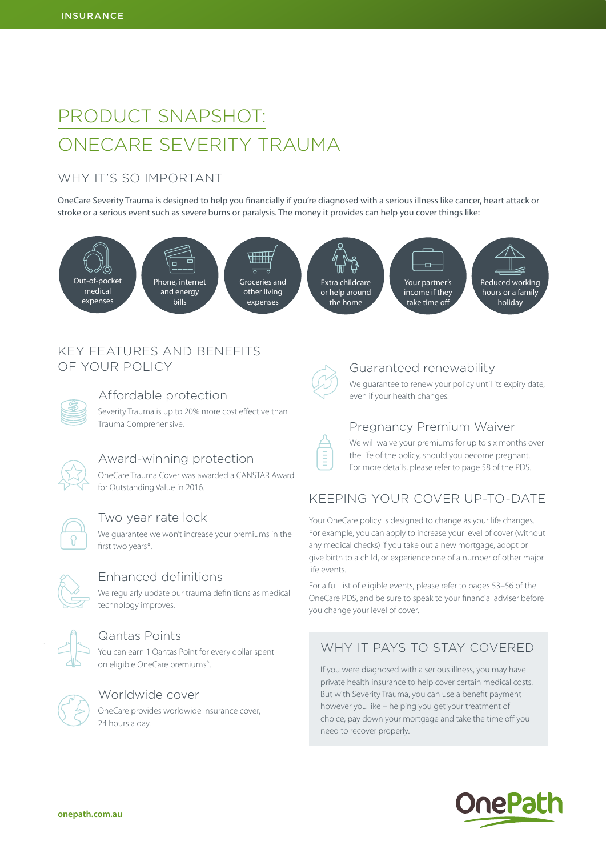# PRODUCT SNAPSHOT: ONECARE SEVERITY TRAUMA

# WHY IT'S SO IMPORTANT

OneCare Severity Trauma is designed to help you financially if you're diagnosed with a serious illness like cancer, heart attack or stroke or a serious event such as severe burns or paralysis. The money it provides can help you cover things like:



# KEY FEATURES AND BENEFITS OF YOUR POLICY

## Affordable protection

Severity Trauma is up to 20% more cost effective than Trauma Comprehensive.



# Award-winning protection

OneCare Trauma Cover was awarded a CANSTAR Award for Outstanding Value in 2016.



#### Two year rate lock

We guarantee we won't increase your premiums in the first two years\*.



#### Enhanced definitions

We regularly update our trauma definitions as medical technology improves.



## Qantas Points

You can earn 1 Qantas Point for every dollar spent on eligible OneCare premiums^.



#### Worldwide cover

OneCare provides worldwide insurance cover, 24 hours a day.



E

# Guaranteed renewability

We guarantee to renew your policy until its expiry date, even if your health changes.

# Pregnancy Premium Waiver

We will waive your premiums for up to six months over the life of the policy, should you become pregnant. For more details, please refer to page 58 of the PDS.

# KEEPING YOUR COVER UP-TO-DATE

Your OneCare policy is designed to change as your life changes. For example, you can apply to increase your level of cover (without any medical checks) if you take out a new mortgage, adopt or give birth to a child, or experience one of a number of other major life events.

For a full list of eligible events, please refer to pages 53–56 of the OneCare PDS, and be sure to speak to your financial adviser before you change your level of cover.

# WHY IT PAYS TO STAY COVERED

If you were diagnosed with a serious illness, you may have private health insurance to help cover certain medical costs. But with Severity Trauma, you can use a benefit payment however you like – helping you get your treatment of choice, pay down your mortgage and take the time off you need to recover properly.